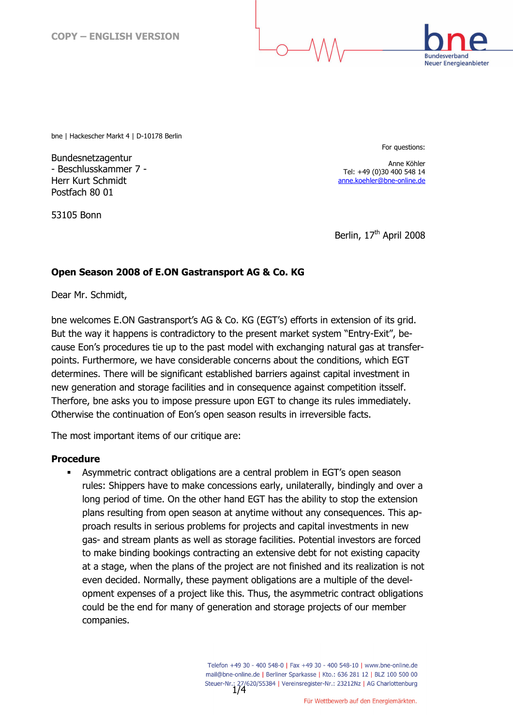

bne | Hackescher Markt 4 | D-10178 Berlin

Bundesnetzagentur - Beschlusskammer 7 - Herr Kurt Schmidt Postfach 80 01

53105 Bonn

For questions:

Anne Köhler Tel: +49 (0)30 400 548 14 anne.koehler@bne-online.de

Berlin, 17<sup>th</sup> April 2008

## Open Season 2008 of E.ON Gastransport AG & Co. KG

Dear Mr. Schmidt,

bne welcomes E.ON Gastransport's AG & Co. KG (EGT's) efforts in extension of its grid. But the way it happens is contradictory to the present market system "Entry-Exit", because Eon's procedures tie up to the past model with exchanging natural gas at transferpoints. Furthermore, we have considerable concerns about the conditions, which EGT determines. There will be significant established barriers against capital investment in new generation and storage facilities and in consequence against competition itsself. Therfore, bne asks you to impose pressure upon EGT to change its rules immediately. Otherwise the continuation of Eon's open season results in irreversible facts.

The most important items of our critique are:

## Procedure

 Asymmetric contract obligations are a central problem in EGT's open season rules: Shippers have to make concessions early, unilaterally, bindingly and over a long period of time. On the other hand EGT has the ability to stop the extension plans resulting from open season at anytime without any consequences. This approach results in serious problems for projects and capital investments in new gas- and stream plants as well as storage facilities. Potential investors are forced to make binding bookings contracting an extensive debt for not existing capacity at a stage, when the plans of the project are not finished and its realization is not even decided. Normally, these payment obligations are a multiple of the development expenses of a project like this. Thus, the asymmetric contract obligations could be the end for many of generation and storage projects of our member companies.

> Telefon +49 30 - 400 548-0 | Fax +49 30 - 400 548-10 | www.bne-online.de mail@bne-online.de | Berliner Sparkasse | Kto.: 636 281 12 | BLZ 100 500 00 Steuer-Nr.: 27/620/55384 | Vereinsregister-Nr.: 23212Nz | AG Charlottenburg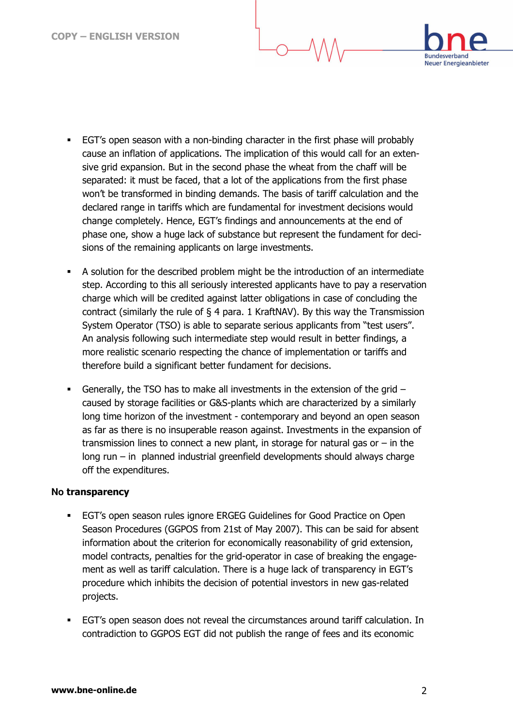

- EGT's open season with a non-binding character in the first phase will probably cause an inflation of applications. The implication of this would call for an extensive grid expansion. But in the second phase the wheat from the chaff will be separated: it must be faced, that a lot of the applications from the first phase won't be transformed in binding demands. The basis of tariff calculation and the declared range in tariffs which are fundamental for investment decisions would change completely. Hence, EGT's findings and announcements at the end of phase one, show a huge lack of substance but represent the fundament for decisions of the remaining applicants on large investments.
- A solution for the described problem might be the introduction of an intermediate step. According to this all seriously interested applicants have to pay a reservation charge which will be credited against latter obligations in case of concluding the contract (similarly the rule of  $\S$  4 para. 1 KraftNAV). By this way the Transmission System Operator (TSO) is able to separate serious applicants from "test users". An analysis following such intermediate step would result in better findings, a more realistic scenario respecting the chance of implementation or tariffs and therefore build a significant better fundament for decisions.
- Generally, the TSO has to make all investments in the extension of the grid caused by storage facilities or G&S-plants which are characterized by a similarly long time horizon of the investment - contemporary and beyond an open season as far as there is no insuperable reason against. Investments in the expansion of transmission lines to connect a new plant, in storage for natural gas or  $-$  in the long run – in planned industrial greenfield developments should always charge off the expenditures.

## **No** transparency

- EGT's open season rules ignore ERGEG Guidelines for Good Practice on Open Season Procedures (GGPOS from 21st of May 2007). This can be said for absent information about the criterion for economically reasonability of grid extension, model contracts, penalties for the grid-operator in case of breaking the engagement as well as tariff calculation. There is a huge lack of transparency in EGT's procedure which inhibits the decision of potential investors in new gas-related projects.
- EGT's open season does not reveal the circumstances around tariff calculation. In contradiction to GGPOS EGT did not publish the range of fees and its economic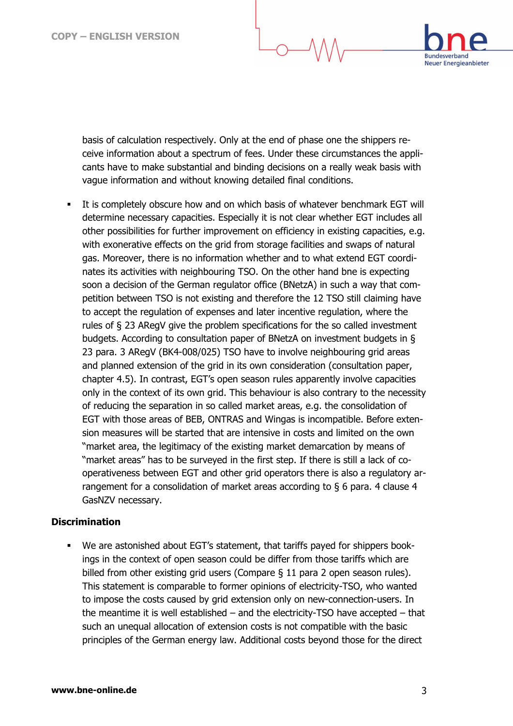

basis of calculation respectively. Only at the end of phase one the shippers receive information about a spectrum of fees. Under these circumstances the applicants have to make substantial and binding decisions on a really weak basis with vague information and without knowing detailed final conditions.

 It is completely obscure how and on which basis of whatever benchmark EGT will determine necessary capacities. Especially it is not clear whether EGT includes all other possibilities for further improvement on efficiency in existing capacities, e.g. with exonerative effects on the grid from storage facilities and swaps of natural gas. Moreover, there is no information whether and to what extend EGT coordinates its activities with neighbouring TSO. On the other hand bne is expecting soon a decision of the German regulator office (BNetzA) in such a way that competition between TSO is not existing and therefore the 12 TSO still claiming have to accept the regulation of expenses and later incentive regulation, where the rules of § 23 ARegV give the problem specifications for the so called investment budgets. According to consultation paper of BNetzA on investment budgets in § 23 para. 3 ARegV (BK4-008/025) TSO have to involve neighbouring grid areas and planned extension of the grid in its own consideration (consultation paper, chapter 4.5). In contrast, EGT's open season rules apparently involve capacities only in the context of its own grid. This behaviour is also contrary to the necessity of reducing the separation in so called market areas, e.g. the consolidation of EGT with those areas of BEB, ONTRAS and Wingas is incompatible. Before extension measures will be started that are intensive in costs and limited on the own "market area, the legitimacy of the existing market demarcation by means of "market areas" has to be surveyed in the first step. If there is still a lack of cooperativeness between EGT and other grid operators there is also a regulatory arrangement for a consolidation of market areas according to § 6 para. 4 clause 4 GasNZV necessary.

## **Discrimination**

 We are astonished about EGT's statement, that tariffs payed for shippers bookings in the context of open season could be differ from those tariffs which are billed from other existing grid users (Compare § 11 para 2 open season rules). This statement is comparable to former opinions of electricity-TSO, who wanted to impose the costs caused by grid extension only on new-connection-users. In the meantime it is well established – and the electricity-TSO have accepted – that such an unequal allocation of extension costs is not compatible with the basic principles of the German energy law. Additional costs beyond those for the direct